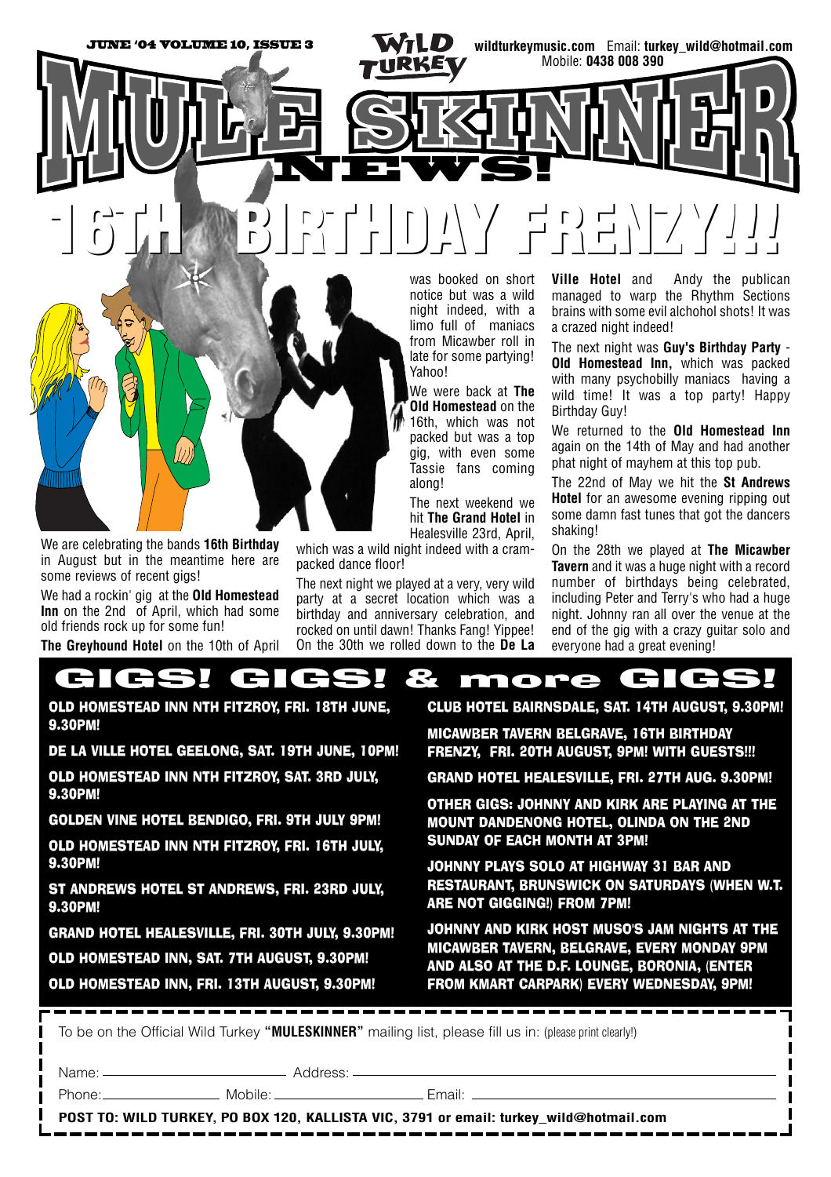

was booked on short notice but was a wild night indeed, with a limo full of maniacs from Micawber roll in late for some partying! Yahoo!

We were back at **The Old Homestead** on the 16th, which was not packed but was a top gig, with even some Tassie fans coming along!

The next weekend we hit **The Grand Hotel** in Healesville 23rd, April,

which was a wild night indeed with a crampacked dance floor!

The next night we played at a very, very wild party at a secret location which was a birthday and anniversary celebration, and rocked on until dawn! Thanks Fang! Yippee! On the 30th we rolled down to the **De La**

**Ville Hotel** and Andy the publican managed to warp the Rhythm Sections brains with some evil alchohol shots! It was a crazed night indeed!

The next night was **Guy's Birthday Party** - **Old Homestead Inn,** which was packed with many psychobilly maniacs having a wild time! It was a top party! Happy Birthday Guy!

We returned to the **Old Homestead Inn** again on the 14th of May and had another phat night of mayhem at this top pub.

The 22nd of May we hit the **St Andrews Hotel** for an awesome evening ripping out some damn fast tunes that got the dancers shaking!

On the 28th we played at **The Micawber Tavern** and it was a huge night with a record number of birthdays being celebrated, including Peter and Terry's who had a huge night. Johnny ran all over the venue at the end of the gig with a crazy guitar solo and everyone had a great evening!



OLD HOMESTEAD INN NTH FITZROY, FRI. 18TH JUNE, 9.30PM!

We are celebrating the bands **16th Birthday** in August but in the meantime here are

We had a rockin' gig at the **Old Homestead Inn** on the 2nd of April, which had some

**The Greyhound Hotel** on the 10th of April

some reviews of recent gigs!

old friends rock up for some fun!

DE LA VILLE HOTEL GEELONG, SAT. 19TH JUNE, 10PM!

OLD HOMESTEAD INN NTH FITZROY, SAT. 3RD JULY, 9.30PM!

GOLDEN VINE HOTEL BENDIGO, FRI. 9TH JULY 9PM!

OLD HOMESTEAD INN NTH FITZROY, FRI. 16TH JULY, 9.30PM!

ST ANDREWS HOTEL ST ANDREWS, FRI. 23RD JULY, 9.30PM!

GRAND HOTEL HEALESVILLE, FRI. 30TH JULY, 9.30PM!

OLD HOMESTEAD INN, SAT. 7TH AUGUST, 9.30PM!

OLD HOMESTEAD INN, FRI. 13TH AUGUST, 9.30PM!



MICAWBER TAVERN BELGRAVE, 16TH BIRTHDAY FRENZY, FRI. 20TH AUGUST, 9PM! WITH GUESTS!!!

GRAND HOTEL HEALESVILLE, FRI. 27TH AUG. 9.30PM!

OTHER GIGS: JOHNNY AND KIRK ARE PLAYING AT THE MOUNT DANDENONG HOTEL, OLINDA ON THE 2ND SUNDAY OF EACH MONTH AT 3PM!

JOHNNY PLAYS SOLO AT HIGHWAY 31 BAR AND RESTAURANT, BRUNSWICK ON SATURDAYS (WHEN W.T. ARE NOT GIGGING!) FROM 7PM!

JOHNNY AND KIRK HOST MUSO'S JAM NIGHTS AT THE MICAWBER TAVERN, BELGRAVE, EVERY MONDAY 9PM AND ALSO AT THE D.F. LOUNGE, BORONIA, (ENTER FROM KMART CARPARK) EVERY WEDNESDAY, 9PM!

To be on the Official Wild Turkey **"MULESKINNER"** mailing list, please fill us in: (please print clearly!)

Name: Address:

Phone: Mobile: Email:

**POST TO: WILD TURKEY, PO BOX 120, KALLISTA VIC, 3791 or email: turkey\_wild@hotmail.com**